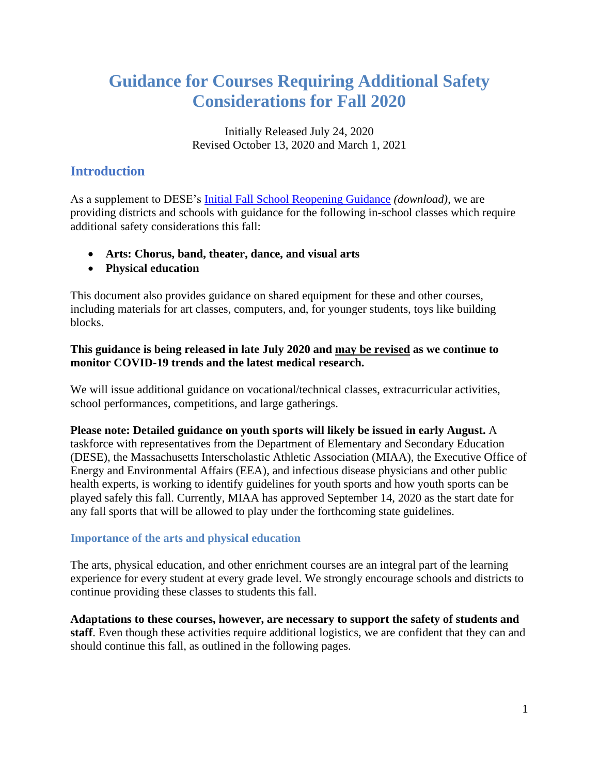# **Guidance for Courses Requiring Additional Safety Considerations for Fall 2020**

Initially Released July 24, 2020 Revised October 13, 2020 and March 1, 2021

# **Introduction**

As a supplement to DESE's [Initial Fall School Reopening Guidance](http://www.doe.mass.edu/covid19/return-to-school/guidance.pdf) *(download)*, we are providing districts and schools with guidance for the following in-school classes which require additional safety considerations this fall:

- **Arts: Chorus, band, theater, dance, and visual arts**
- **Physical education**

This document also provides guidance on shared equipment for these and other courses, including materials for art classes, computers, and, for younger students, toys like building blocks.

#### **This guidance is being released in late July 2020 and may be revised as we continue to monitor COVID-19 trends and the latest medical research.**

We will issue additional guidance on vocational/technical classes, extracurricular activities, school performances, competitions, and large gatherings.

**Please note: Detailed guidance on youth sports will likely be issued in early August.** A taskforce with representatives from the Department of Elementary and Secondary Education (DESE), the Massachusetts Interscholastic Athletic Association (MIAA), the Executive Office of Energy and Environmental Affairs (EEA), and infectious disease physicians and other public health experts, is working to identify guidelines for youth sports and how youth sports can be played safely this fall. Currently, MIAA has approved September 14, 2020 as the start date for any fall sports that will be allowed to play under the forthcoming state guidelines.

#### **Importance of the arts and physical education**

The arts, physical education, and other enrichment courses are an integral part of the learning experience for every student at every grade level. We strongly encourage schools and districts to continue providing these classes to students this fall.

**Adaptations to these courses, however, are necessary to support the safety of students and staff**. Even though these activities require additional logistics, we are confident that they can and should continue this fall, as outlined in the following pages.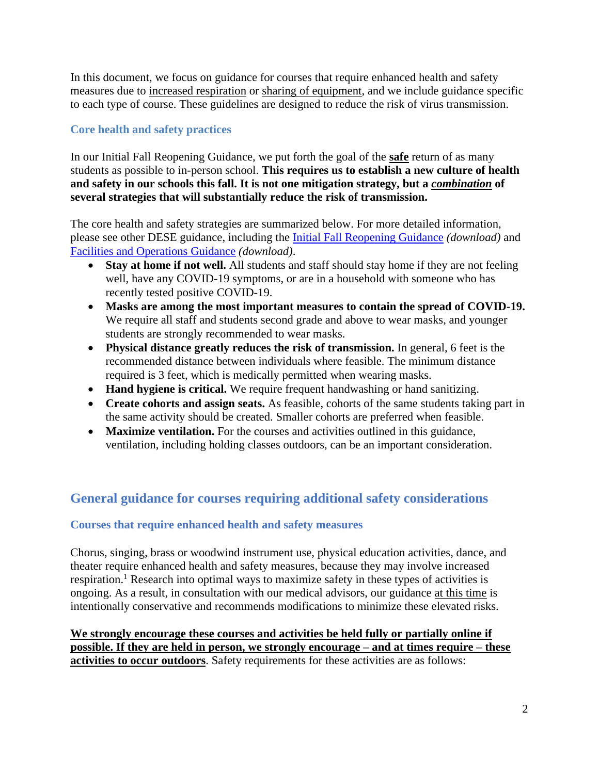In this document, we focus on guidance for courses that require enhanced health and safety measures due to increased respiration or sharing of equipment, and we include guidance specific to each type of course. These guidelines are designed to reduce the risk of virus transmission.

# **Core health and safety practices**

In our Initial Fall Reopening Guidance, we put forth the goal of the **safe** return of as many students as possible to in-person school. **This requires us to establish a new culture of health and safety in our schools this fall. It is not one mitigation strategy, but a** *combination* **of several strategies that will substantially reduce the risk of transmission.**

The core health and safety strategies are summarized below. For more detailed information, please see other DESE guidance, including the [Initial Fall Reopening Guidance](http://www.doe.mass.edu/covid19/on-desktop/2020-0625fall-reopening.docx) *(download)* and [Facilities and Operations Guidance](http://www.doe.mass.edu/covid19/on-desktop/2020-0722facilities-operations-guide.docx) *(download)*.

- **Stay at home if not well.** All students and staff should stay home if they are not feeling well, have any COVID-19 symptoms, or are in a household with someone who has recently tested positive COVID-19.
- **Masks are among the most important measures to contain the spread of COVID-19.**  We require all staff and students second grade and above to wear masks, and younger students are strongly recommended to wear masks.
- **Physical distance greatly reduces the risk of transmission.** In general, 6 feet is the recommended distance between individuals where feasible. The minimum distance required is 3 feet, which is medically permitted when wearing masks.
- **Hand hygiene is critical.** We require frequent handwashing or hand sanitizing.
- **Create cohorts and assign seats.** As feasible, cohorts of the same students taking part in the same activity should be created. Smaller cohorts are preferred when feasible.
- **Maximize ventilation.** For the courses and activities outlined in this guidance, ventilation, including holding classes outdoors, can be an important consideration.

# **General guidance for courses requiring additional safety considerations**

#### **Courses that require enhanced health and safety measures**

Chorus, singing, brass or woodwind instrument use, physical education activities, dance, and theater require enhanced health and safety measures, because they may involve increased respiration.<sup>1</sup> Research into optimal ways to maximize safety in these types of activities is ongoing. As a result, in consultation with our medical advisors, our guidance at this time is intentionally conservative and recommends modifications to minimize these elevated risks.

**We strongly encourage these courses and activities be held fully or partially online if possible. If they are held in person, we strongly encourage – and at times require – these activities to occur outdoors**. Safety requirements for these activities are as follows: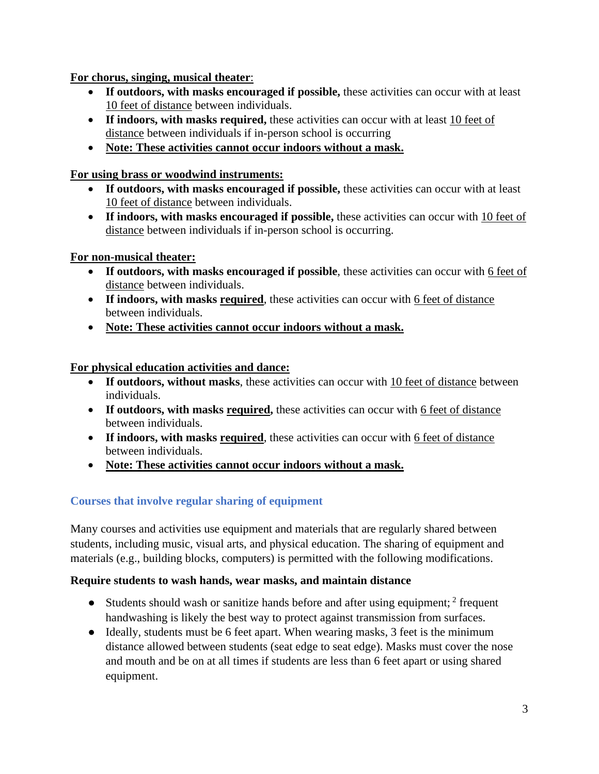# **For chorus, singing, musical theater**:

- **If outdoors, with masks encouraged if possible,** these activities can occur with at least 10 feet of distance between individuals.
- **If indoors, with masks required,** these activities can occur with at least 10 feet of distance between individuals if in-person school is occurring
- **Note: These activities cannot occur indoors without a mask.**

# **For using brass or woodwind instruments:**

- **If outdoors, with masks encouraged if possible,** these activities can occur with at least 10 feet of distance between individuals.
- **If indoors, with masks encouraged if possible,** these activities can occur with 10 feet of distance between individuals if in-person school is occurring.

# **For non-musical theater:**

- **If outdoors, with masks encouraged if possible**, these activities can occur with 6 feet of distance between individuals.
- **If indoors, with masks required**, these activities can occur with 6 feet of distance between individuals.
- **Note: These activities cannot occur indoors without a mask.**

# **For physical education activities and dance:**

- If outdoors, without masks, these activities can occur with 10 feet of distance between individuals.
- If outdoors, with masks required, these activities can occur with 6 feet of distance between individuals.
- **If indoors, with masks required**, these activities can occur with 6 feet of distance between individuals.
- **Note: These activities cannot occur indoors without a mask.**

# **Courses that involve regular sharing of equipment**

Many courses and activities use equipment and materials that are regularly shared between students, including music, visual arts, and physical education. The sharing of equipment and materials (e.g., building blocks, computers) is permitted with the following modifications.

#### **Require students to wash hands, wear masks, and maintain distance**

- Students should wash or sanitize hands before and after using equipment;  $2$  frequent handwashing is likely the best way to protect against transmission from surfaces.
- Ideally, students must be 6 feet apart. When wearing masks, 3 feet is the minimum distance allowed between students (seat edge to seat edge). Masks must cover the nose and mouth and be on at all times if students are less than 6 feet apart or using shared equipment.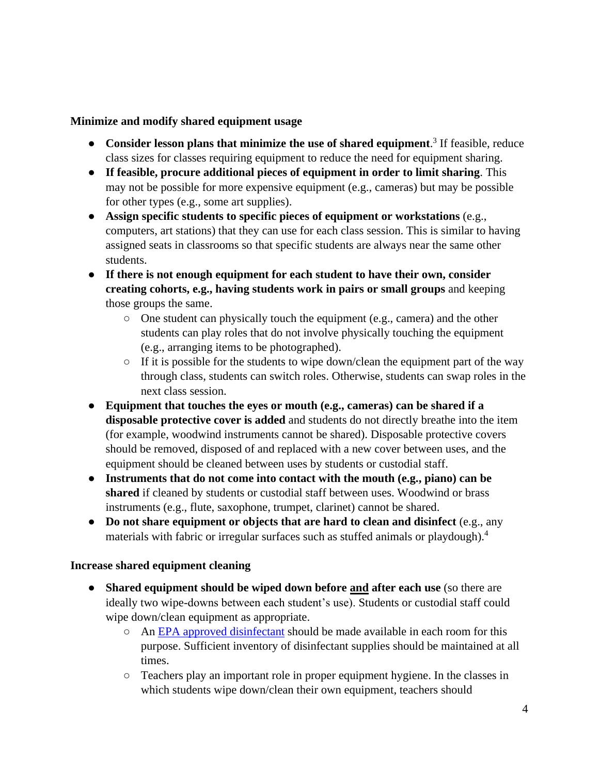#### **Minimize and modify shared equipment usage**

- **Consider lesson plans that minimize the use of shared equipment.**<sup>3</sup> If feasible, reduce class sizes for classes requiring equipment to reduce the need for equipment sharing.
- **If feasible, procure additional pieces of equipment in order to limit sharing**. This may not be possible for more expensive equipment (e.g., cameras) but may be possible for other types (e.g., some art supplies).
- **Assign specific students to specific pieces of equipment or workstations** (e.g., computers, art stations) that they can use for each class session. This is similar to having assigned seats in classrooms so that specific students are always near the same other students.
- **If there is not enough equipment for each student to have their own, consider creating cohorts, e.g., having students work in pairs or small groups** and keeping those groups the same.
	- $\circ$  One student can physically touch the equipment (e.g., camera) and the other students can play roles that do not involve physically touching the equipment (e.g., arranging items to be photographed).
	- $\circ$  If it is possible for the students to wipe down/clean the equipment part of the way through class, students can switch roles. Otherwise, students can swap roles in the next class session.
- **Equipment that touches the eyes or mouth (e.g., cameras) can be shared if a disposable protective cover is added** and students do not directly breathe into the item (for example, woodwind instruments cannot be shared). Disposable protective covers should be removed, disposed of and replaced with a new cover between uses, and the equipment should be cleaned between uses by students or custodial staff.
- **Instruments that do not come into contact with the mouth (e.g., piano) can be shared** if cleaned by students or custodial staff between uses. Woodwind or brass instruments (e.g., flute, saxophone, trumpet, clarinet) cannot be shared.
- **Do not share equipment or objects that are hard to clean and disinfect** (e.g., any materials with fabric or irregular surfaces such as stuffed animals or playdough).<sup>4</sup>

#### **Increase shared equipment cleaning**

- **Shared equipment should be wiped down before and after each use** (so there are ideally two wipe-downs between each student's use). Students or custodial staff could wipe down/clean equipment as appropriate.
	- An [EPA approved disinfectant](https://www.epa.gov/pesticide-registration/list-n-disinfectants-use-against-sars-cov-2-covid-19) should be made available in each room for this purpose. Sufficient inventory of disinfectant supplies should be maintained at all times.
	- Teachers play an important role in proper equipment hygiene. In the classes in which students wipe down/clean their own equipment, teachers should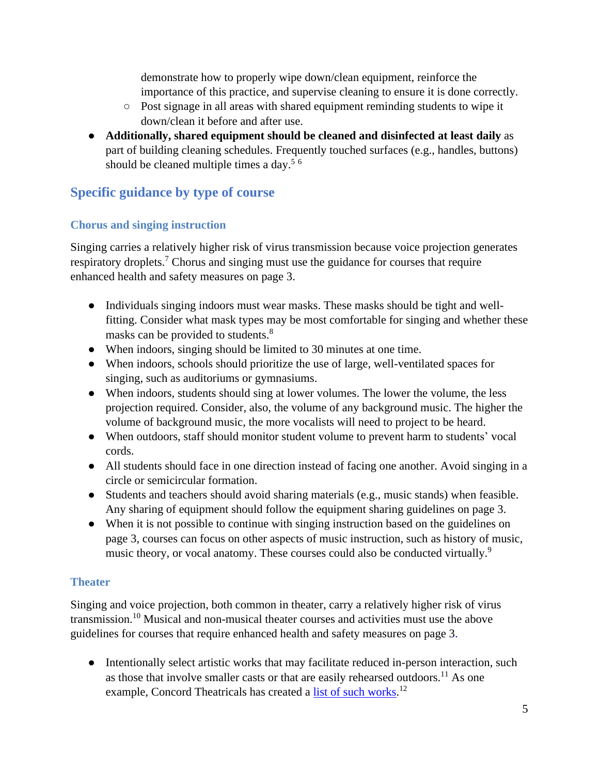demonstrate how to properly wipe down/clean equipment, reinforce the importance of this practice, and supervise cleaning to ensure it is done correctly.

- Post signage in all areas with shared equipment reminding students to wipe it down/clean it before and after use.
- **Additionally, shared equipment should be cleaned and disinfected at least daily** as part of building cleaning schedules. Frequently touched surfaces (e.g., handles, buttons) should be cleaned multiple times a day.<sup>5  $6$ </sup>

# **Specific guidance by type of course**

# **Chorus and singing instruction**

Singing carries a relatively higher risk of virus transmission because voice projection generates respiratory droplets.<sup>7</sup> Chorus and singing must use the guidance for courses that require enhanced health and safety measures on page 3.

- Individuals singing indoors must wear masks. These masks should be tight and wellfitting. Consider what mask types may be most comfortable for singing and whether these masks can be provided to students.<sup>8</sup>
- When indoors, singing should be limited to 30 minutes at one time.
- When indoors, schools should prioritize the use of large, well-ventilated spaces for singing, such as auditoriums or gymnasiums.
- When indoors, students should sing at lower volumes. The lower the volume, the less projection required. Consider, also, the volume of any background music. The higher the volume of background music, the more vocalists will need to project to be heard.
- When outdoors, staff should monitor student volume to prevent harm to students' vocal cords.
- All students should face in one direction instead of facing one another. Avoid singing in a circle or semicircular formation.
- Students and teachers should avoid sharing materials (e.g., music stands) when feasible. Any sharing of equipment should follow the equipment sharing guidelines on page 3.
- When it is not possible to continue with singing instruction based on the guidelines on page 3, courses can focus on other aspects of music instruction, such as history of music, music theory, or vocal anatomy. These courses could also be conducted virtually.<sup>9</sup>

# **Theater**

Singing and voice projection, both common in theater, carry a relatively higher risk of virus transmission.<sup>10</sup> Musical and non-musical theater courses and activities must use the above guidelines for courses that require enhanced health and safety measures on page 3.

● Intentionally select artistic works that may facilitate reduced in-person interaction, such as those that involve smaller casts or that are easily rehearsed outdoors.<sup>11</sup> As one example, Concord Theatricals has created a [list of such works.](https://documentcloud.adobe.com/link/track?uri=urn%3Aaaid%3Ascds%3AUS%3A90e524f9-d054-4b1a-96cf-b4ca6d32d9e4#pageNum=1)<sup>12</sup>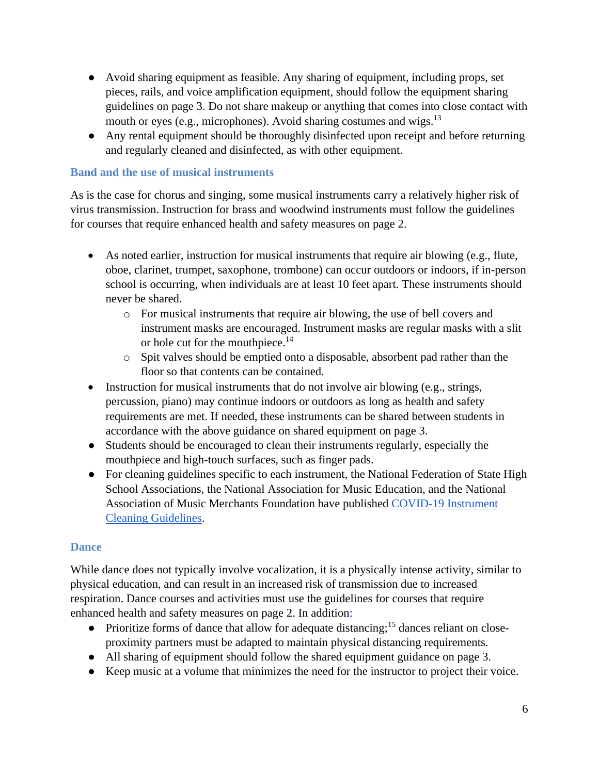- Avoid sharing equipment as feasible. Any sharing of equipment, including props, set pieces, rails, and voice amplification equipment, should follow the equipment sharing guidelines on page 3. Do not share makeup or anything that comes into close contact with mouth or eyes (e.g., microphones). Avoid sharing costumes and wigs.<sup>13</sup>
- Any rental equipment should be thoroughly disinfected upon receipt and before returning and regularly cleaned and disinfected, as with other equipment.

# **Band and the use of musical instruments**

As is the case for chorus and singing, some musical instruments carry a relatively higher risk of virus transmission. Instruction for brass and woodwind instruments must follow the guidelines for courses that require enhanced health and safety measures on page 2.

- As noted earlier, instruction for musical instruments that require air blowing (e.g., flute, oboe, clarinet, trumpet, saxophone, trombone) can occur outdoors or indoors, if in-person school is occurring, when individuals are at least 10 feet apart. These instruments should never be shared.
	- o For musical instruments that require air blowing, the use of bell covers and instrument masks are encouraged. Instrument masks are regular masks with a slit or hole cut for the mouthpiece.<sup>14</sup>
	- o Spit valves should be emptied onto a disposable, absorbent pad rather than the floor so that contents can be contained.
- Instruction for musical instruments that do not involve air blowing (e.g., strings, percussion, piano) may continue indoors or outdoors as long as health and safety requirements are met. If needed, these instruments can be shared between students in accordance with the above guidance on shared equipment on page 3.
- Students should be encouraged to clean their instruments regularly, especially the mouthpiece and high-touch surfaces, such as finger pads.
- For cleaning guidelines specific to each instrument, the National Federation of State High School Associations, the National Association for Music Education, and the National Association of Music Merchants Foundation have published [COVID-19 Instrument](https://www.nfhs.org/articles/covid-19-instrument-cleaning-guidelines/)  [Cleaning Guidelines.](https://www.nfhs.org/articles/covid-19-instrument-cleaning-guidelines/)

#### **Dance**

While dance does not typically involve vocalization, it is a physically intense activity, similar to physical education, and can result in an increased risk of transmission due to increased respiration. Dance courses and activities must use the guidelines for courses that require enhanced health and safety measures on page 2. In addition:

- Prioritize forms of dance that allow for adequate distancing;<sup>15</sup> dances reliant on closeproximity partners must be adapted to maintain physical distancing requirements.
- All sharing of equipment should follow the shared equipment guidance on page 3.
- Keep music at a volume that minimizes the need for the instructor to project their voice.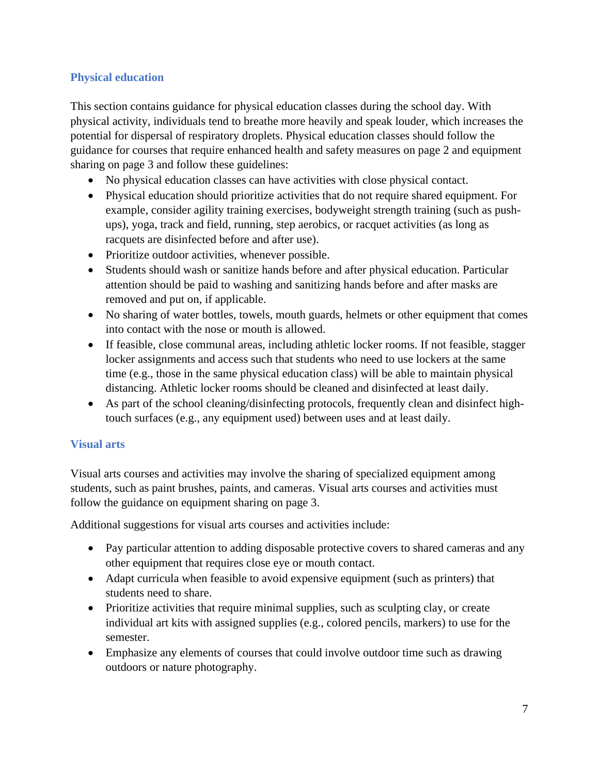# **Physical education**

This section contains guidance for physical education classes during the school day. With physical activity, individuals tend to breathe more heavily and speak louder, which increases the potential for dispersal of respiratory droplets. Physical education classes should follow the guidance for courses that require enhanced health and safety measures on page 2 and equipment sharing on page 3 and follow these guidelines:

- No physical education classes can have activities with close physical contact.
- Physical education should prioritize activities that do not require shared equipment. For example, consider agility training exercises, bodyweight strength training (such as pushups), yoga, track and field, running, step aerobics, or racquet activities (as long as racquets are disinfected before and after use).
- Prioritize outdoor activities, whenever possible.
- Students should wash or sanitize hands before and after physical education. Particular attention should be paid to washing and sanitizing hands before and after masks are removed and put on, if applicable.
- No sharing of water bottles, towels, mouth guards, helmets or other equipment that comes into contact with the nose or mouth is allowed.
- If feasible, close communal areas, including athletic locker rooms. If not feasible, stagger locker assignments and access such that students who need to use lockers at the same time (e.g., those in the same physical education class) will be able to maintain physical distancing. Athletic locker rooms should be cleaned and disinfected at least daily.
- As part of the school cleaning/disinfecting protocols, frequently clean and disinfect hightouch surfaces (e.g., any equipment used) between uses and at least daily.

#### **Visual arts**

Visual arts courses and activities may involve the sharing of specialized equipment among students, such as paint brushes, paints, and cameras. Visual arts courses and activities must follow the guidance on equipment sharing on page 3.

Additional suggestions for visual arts courses and activities include:

- Pay particular attention to adding disposable protective covers to shared cameras and any other equipment that requires close eye or mouth contact.
- Adapt curricula when feasible to avoid expensive equipment (such as printers) that students need to share.
- Prioritize activities that require minimal supplies, such as sculpting clay, or create individual art kits with assigned supplies (e.g., colored pencils, markers) to use for the semester.
- Emphasize any elements of courses that could involve outdoor time such as drawing outdoors or nature photography.